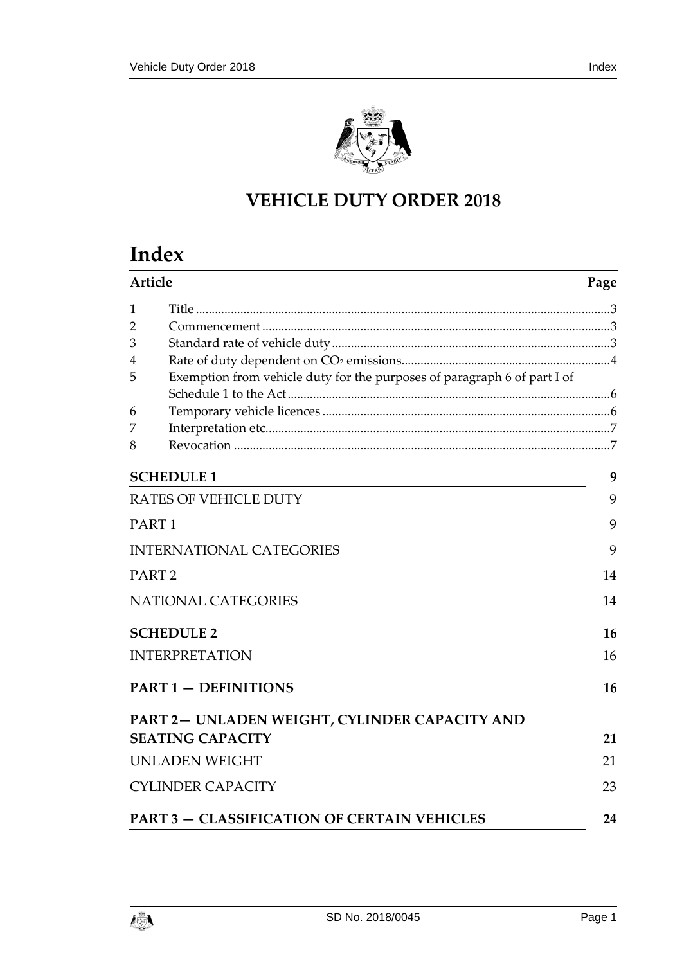

# **VEHICLE DUTY ORDER 2018**

# **Index**

|   | Article<br>Page                                                          |    |
|---|--------------------------------------------------------------------------|----|
| 1 |                                                                          |    |
| 2 |                                                                          |    |
| 3 |                                                                          |    |
| 4 |                                                                          |    |
| 5 | Exemption from vehicle duty for the purposes of paragraph 6 of part I of |    |
|   |                                                                          |    |
| 6 |                                                                          |    |
| 7 |                                                                          |    |
| 8 |                                                                          |    |
|   | <b>SCHEDULE 1</b>                                                        | 9  |
|   | <b>RATES OF VEHICLE DUTY</b>                                             | 9  |
|   | PART <sub>1</sub>                                                        | 9  |
|   | <b>INTERNATIONAL CATEGORIES</b>                                          | 9  |
|   | PART <sub>2</sub>                                                        | 14 |
|   | <b>NATIONAL CATEGORIES</b>                                               | 14 |
|   | <b>SCHEDULE 2</b>                                                        | 16 |
|   | <b>INTERPRETATION</b>                                                    | 16 |
|   | <b>PART 1 - DEFINITIONS</b>                                              | 16 |
|   | PART 2- UNLADEN WEIGHT, CYLINDER CAPACITY AND<br><b>SEATING CAPACITY</b> | 21 |
|   | <b>UNLADEN WEIGHT</b>                                                    | 21 |
|   | <b>CYLINDER CAPACITY</b>                                                 | 23 |
|   | <b>PART 3 - CLASSIFICATION OF CERTAIN VEHICLES</b>                       | 24 |

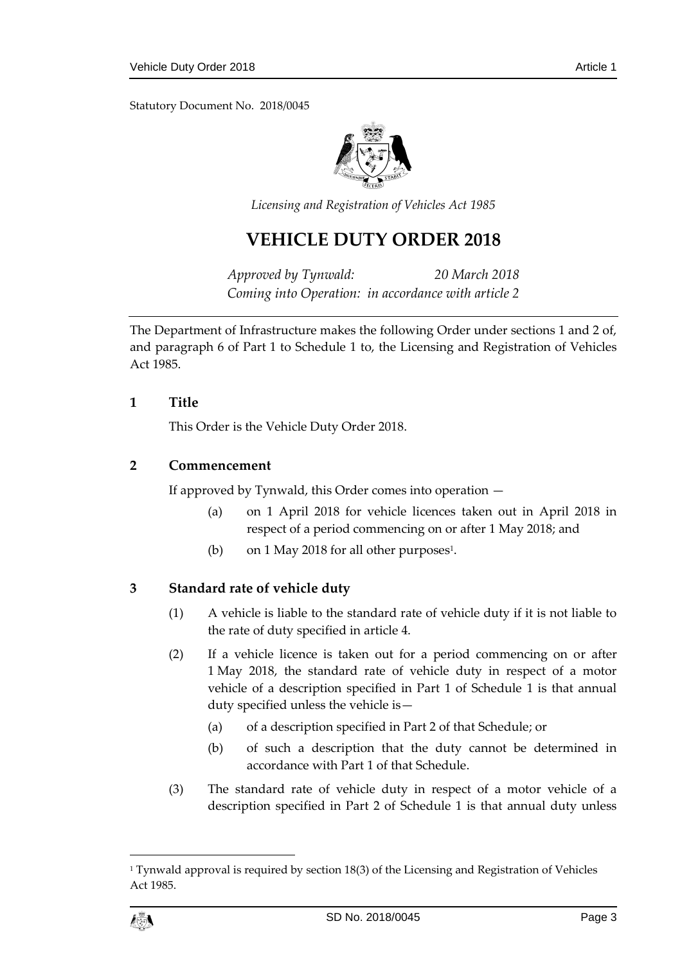Statutory Document No. 2018/0045



*Licensing and Registration of Vehicles Act 1985*

## **VEHICLE DUTY ORDER 2018**

*Approved by Tynwald: 20 March 2018 Coming into Operation: in accordance with article 2*

The Department of Infrastructure makes the following Order under sections 1 and 2 of, and paragraph 6 of Part 1 to Schedule 1 to, the Licensing and Registration of Vehicles Act 1985.

## <span id="page-2-0"></span>**1 Title**

This Order is the Vehicle Duty Order 2018.

## <span id="page-2-1"></span>**2 Commencement**

If approved by Tynwald, this Order comes into operation —

- (a) on 1 April 2018 for vehicle licences taken out in April 2018 in respect of a period commencing on or after 1 May 2018; and
- (b) on 1 May 2018 for all other purposes<sup>1</sup>.

## <span id="page-2-2"></span>**3 Standard rate of vehicle duty**

- (1) A vehicle is liable to the standard rate of vehicle duty if it is not liable to the rate of duty specified in article 4.
- (2) If a vehicle licence is taken out for a period commencing on or after 1 May 2018, the standard rate of vehicle duty in respect of a motor vehicle of a description specified in Part 1 of Schedule 1 is that annual duty specified unless the vehicle is—
	- (a) of a description specified in Part 2 of that Schedule; or
	- (b) of such a description that the duty cannot be determined in accordance with Part 1 of that Schedule.
- (3) The standard rate of vehicle duty in respect of a motor vehicle of a description specified in Part 2 of Schedule 1 is that annual duty unless

 $\overline{a}$ 

<sup>&</sup>lt;sup>1</sup> Tynwald approval is required by section  $18(3)$  of the Licensing and Registration of Vehicles Act 1985.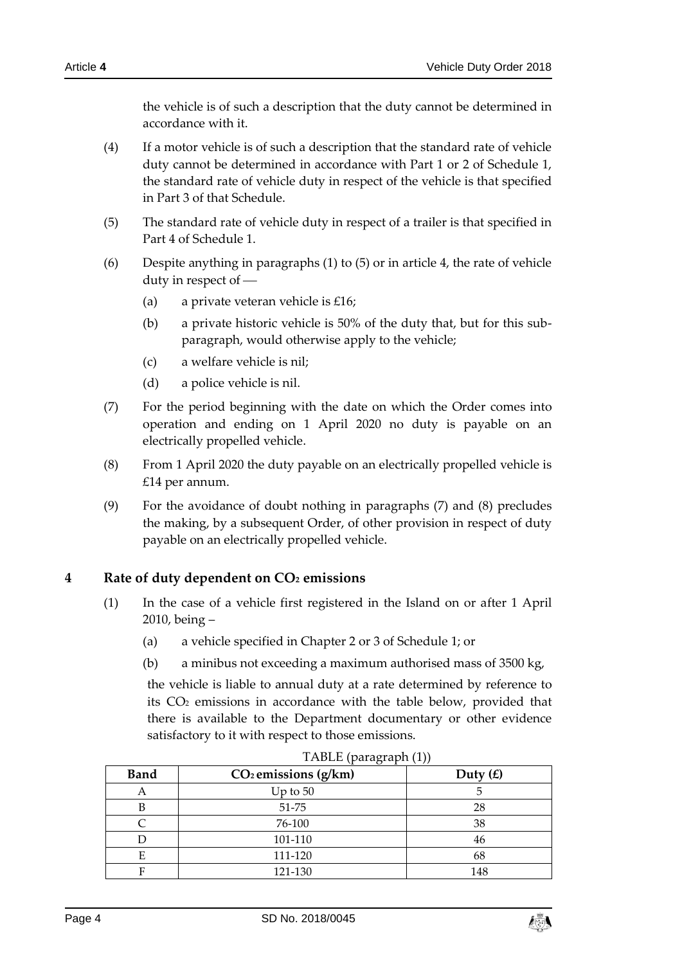the vehicle is of such a description that the duty cannot be determined in accordance with it.

- (4) If a motor vehicle is of such a description that the standard rate of vehicle duty cannot be determined in accordance with Part 1 or 2 of Schedule 1, the standard rate of vehicle duty in respect of the vehicle is that specified in Part 3 of that Schedule.
- (5) The standard rate of vehicle duty in respect of a trailer is that specified in Part 4 of Schedule 1.
- (6) Despite anything in paragraphs (1) to (5) or in article 4, the rate of vehicle duty in respect of
	- (a) a private veteran vehicle is  $£16;$
	- (b) a private historic vehicle is 50% of the duty that, but for this subparagraph, would otherwise apply to the vehicle;
	- (c) a welfare vehicle is nil;
	- (d) a police vehicle is nil.
- (7) For the period beginning with the date on which the Order comes into operation and ending on 1 April 2020 no duty is payable on an electrically propelled vehicle.
- (8) From 1 April 2020 the duty payable on an electrically propelled vehicle is £14 per annum.
- (9) For the avoidance of doubt nothing in paragraphs (7) and (8) precludes the making, by a subsequent Order, of other provision in respect of duty payable on an electrically propelled vehicle.

## <span id="page-3-0"></span>**4 Rate of duty dependent on CO<sup>2</sup> emissions**

- (1) In the case of a vehicle first registered in the Island on or after 1 April 2010, being –
	- (a) a vehicle specified in Chapter 2 or 3 of Schedule 1; or
	- (b) a minibus not exceeding a maximum authorised mass of 3500 kg,

the vehicle is liable to annual duty at a rate determined by reference to its CO<sup>2</sup> emissions in accordance with the table below, provided that there is available to the Department documentary or other evidence satisfactory to it with respect to those emissions.

| <b>Band</b> | $CO2$ emissions (g/km) | Duty $(E)$ |  |
|-------------|------------------------|------------|--|
| A           | Up to $50$             |            |  |
| B           | 51-75                  | 28         |  |
|             | 76-100                 | 38         |  |
| D           | 101-110                | 46         |  |
| E           | 111-120                | 68         |  |
| Е           | 121-130                | 148        |  |

#### TABLE (paragraph (1))

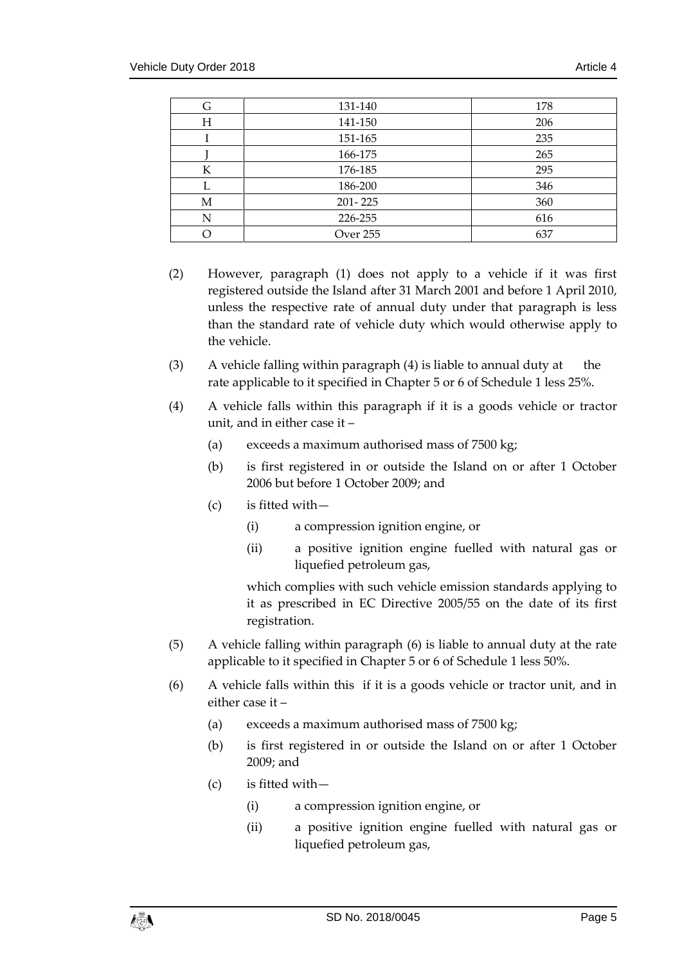| G | 131-140     | 178 |
|---|-------------|-----|
| Н | 141-150     | 206 |
|   | 151-165     | 235 |
|   | 166-175     | 265 |
| К | 176-185     | 295 |
|   | 186-200     | 346 |
| М | $201 - 225$ | 360 |
| N | 226-255     | 616 |
|   | Over 255    | 637 |

- (2) However, paragraph (1) does not apply to a vehicle if it was first registered outside the Island after 31 March 2001 and before 1 April 2010, unless the respective rate of annual duty under that paragraph is less than the standard rate of vehicle duty which would otherwise apply to the vehicle.
- (3) A vehicle falling within paragraph (4) is liable to annual duty at the rate applicable to it specified in Chapter 5 or 6 of Schedule 1 less 25%.
- (4) A vehicle falls within this paragraph if it is a goods vehicle or tractor unit, and in either case it –
	- (a) exceeds a maximum authorised mass of 7500 kg;
	- (b) is first registered in or outside the Island on or after 1 October 2006 but before 1 October 2009; and
	- (c) is fitted with—
		- (i) a compression ignition engine, or
		- (ii) a positive ignition engine fuelled with natural gas or liquefied petroleum gas,

which complies with such vehicle emission standards applying to it as prescribed in EC Directive 2005/55 on the date of its first registration.

- (5) A vehicle falling within paragraph (6) is liable to annual duty at the rate applicable to it specified in Chapter 5 or 6 of Schedule 1 less 50%.
- (6) A vehicle falls within this if it is a goods vehicle or tractor unit, and in either case it –
	- (a) exceeds a maximum authorised mass of 7500 kg;
	- (b) is first registered in or outside the Island on or after 1 October 2009; and
	- (c) is fitted with—
		- (i) a compression ignition engine, or
		- (ii) a positive ignition engine fuelled with natural gas or liquefied petroleum gas,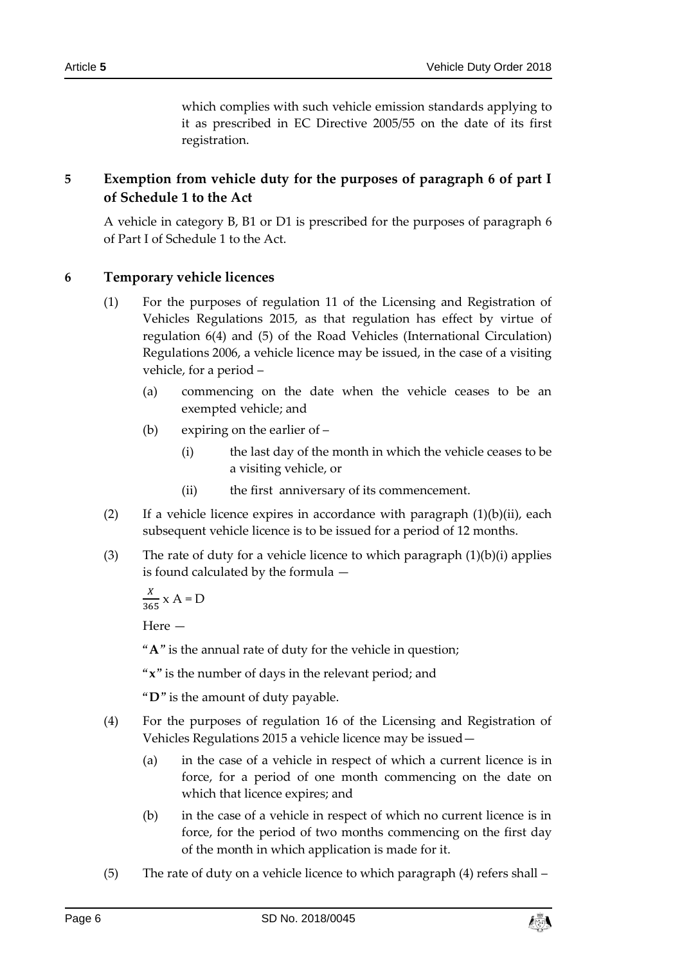which complies with such vehicle emission standards applying to it as prescribed in EC Directive 2005/55 on the date of its first registration.

## <span id="page-5-0"></span>**5 Exemption from vehicle duty for the purposes of paragraph 6 of part I of Schedule 1 to the Act**

A vehicle in category B, B1 or D1 is prescribed for the purposes of paragraph 6 of Part I of Schedule 1 to the Act.

## <span id="page-5-1"></span>**6 Temporary vehicle licences**

- (1) For the purposes of regulation 11 of the Licensing and Registration of Vehicles Regulations 2015, as that regulation has effect by virtue of regulation 6(4) and (5) of the Road Vehicles (International Circulation) Regulations 2006, a vehicle licence may be issued, in the case of a visiting vehicle, for a period –
	- (a) commencing on the date when the vehicle ceases to be an exempted vehicle; and
	- (b) expiring on the earlier of
		- (i) the last day of the month in which the vehicle ceases to be a visiting vehicle, or
		- (ii) the first anniversary of its commencement.
- (2) If a vehicle licence expires in accordance with paragraph  $(1)(b)(ii)$ , each subsequent vehicle licence is to be issued for a period of 12 months.
- (3) The rate of duty for a vehicle licence to which paragraph  $(1)(b)(i)$  applies is found calculated by the formula —

X  $\frac{1}{365}$  x A = D

Here —

"**A**" is the annual rate of duty for the vehicle in question;

"**x**" is the number of days in the relevant period; and

"**D**" is the amount of duty payable.

- (4) For the purposes of regulation 16 of the Licensing and Registration of Vehicles Regulations 2015 a vehicle licence may be issued—
	- (a) in the case of a vehicle in respect of which a current licence is in force, for a period of one month commencing on the date on which that licence expires; and
	- (b) in the case of a vehicle in respect of which no current licence is in force, for the period of two months commencing on the first day of the month in which application is made for it.
- (5) The rate of duty on a vehicle licence to which paragraph (4) refers shall –

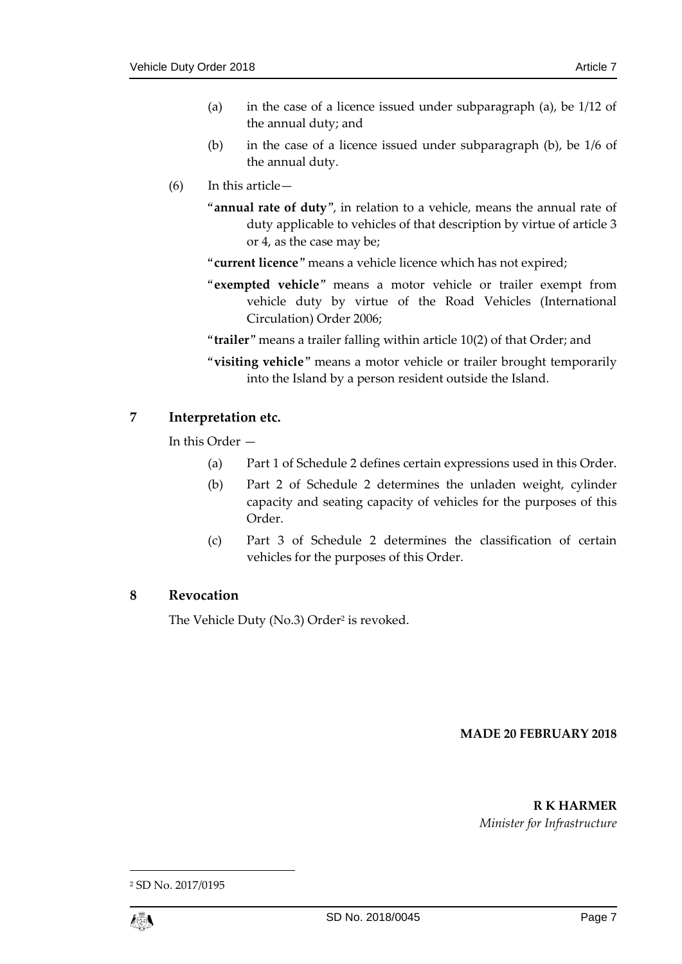- (a) in the case of a licence issued under subparagraph (a), be 1/12 of the annual duty; and
- (b) in the case of a licence issued under subparagraph (b), be 1/6 of the annual duty.
- (6) In this article—
	- "**annual rate of duty**", in relation to a vehicle, means the annual rate of duty applicable to vehicles of that description by virtue of article 3 or 4, as the case may be;
	- "**current licence**" means a vehicle licence which has not expired;
	- "**exempted vehicle**" means a motor vehicle or trailer exempt from vehicle duty by virtue of the Road Vehicles (International Circulation) Order 2006;
	- "**trailer**" means a trailer falling within article 10(2) of that Order; and
	- "**visiting vehicle**" means a motor vehicle or trailer brought temporarily into the Island by a person resident outside the Island.

## <span id="page-6-0"></span>**7 Interpretation etc.**

In this Order —

- (a) Part 1 of Schedule 2 defines certain expressions used in this Order.
- (b) Part 2 of Schedule 2 determines the unladen weight, cylinder capacity and seating capacity of vehicles for the purposes of this Order.
- (c) Part 3 of Schedule 2 determines the classification of certain vehicles for the purposes of this Order.

## <span id="page-6-1"></span>**8 Revocation**

The Vehicle Duty (No.3) Order<sup>2</sup> is revoked.

## **MADE 20 FEBRUARY 2018**

#### **R K HARMER**

*Minister for Infrastructure*

<sup>2</sup> SD No. 2017/0195



1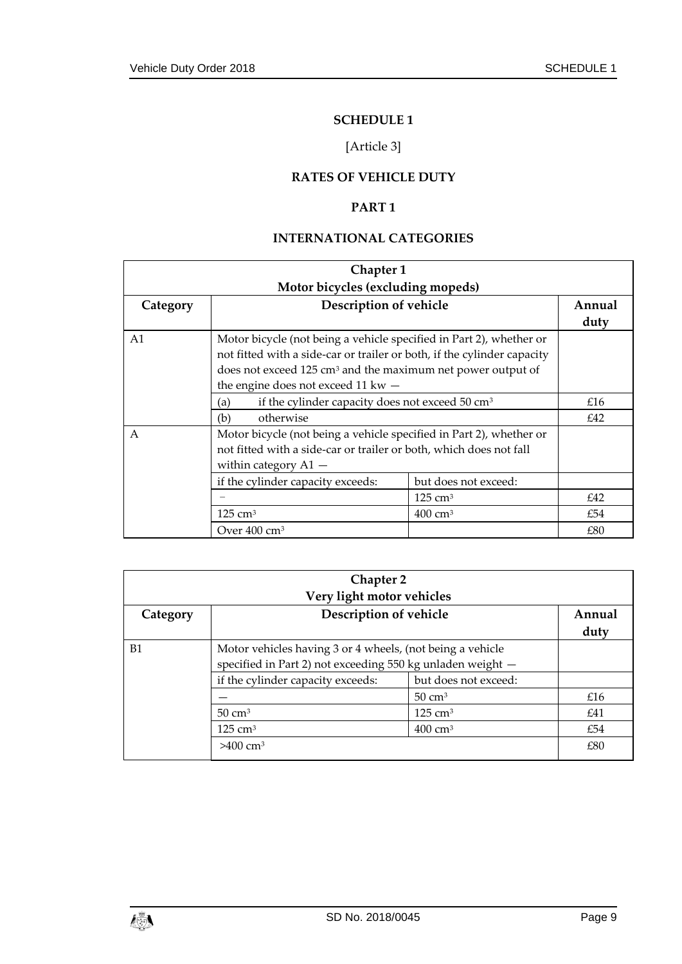## **SCHEDULE 1**

## [Article 3]

## **RATES OF VEHICLE DUTY**

## **PART 1**

## **INTERNATIONAL CATEGORIES**

<span id="page-8-3"></span><span id="page-8-2"></span><span id="page-8-1"></span><span id="page-8-0"></span>

| Chapter 1                         |                                                                                        |                    |        |  |
|-----------------------------------|----------------------------------------------------------------------------------------|--------------------|--------|--|
| Motor bicycles (excluding mopeds) |                                                                                        |                    |        |  |
| Category                          | Description of vehicle                                                                 |                    | Annual |  |
|                                   |                                                                                        | duty               |        |  |
| A <sub>1</sub>                    | Motor bicycle (not being a vehicle specified in Part 2), whether or                    |                    |        |  |
|                                   | not fitted with a side-car or trailer or both, if the cylinder capacity                |                    |        |  |
|                                   | does not exceed 125 cm <sup>3</sup> and the maximum net power output of                |                    |        |  |
|                                   | the engine does not exceed 11 kw $-$                                                   |                    |        |  |
|                                   | if the cylinder capacity does not exceed 50 cm <sup>3</sup><br>(a)<br>otherwise<br>(b) |                    | £16    |  |
|                                   |                                                                                        |                    | £42    |  |
| $\mathsf{A}$                      | Motor bicycle (not being a vehicle specified in Part 2), whether or                    |                    |        |  |
|                                   | not fitted with a side-car or trailer or both, which does not fall                     |                    |        |  |
|                                   | within category $A1 -$                                                                 |                    |        |  |
|                                   | if the cylinder capacity exceeds:<br>but does not exceed:                              |                    |        |  |
|                                   |                                                                                        | $125 \text{ cm}^3$ | £42    |  |
|                                   | $125 \text{ cm}^3$<br>$400 \text{ cm}^3$                                               |                    | £54    |  |
|                                   | Over $400 \text{ cm}^3$                                                                |                    | £80    |  |

| <b>Chapter 2</b><br>Very light motor vehicles |                                                                                                                         |                      |                |
|-----------------------------------------------|-------------------------------------------------------------------------------------------------------------------------|----------------------|----------------|
| Category                                      | Description of vehicle                                                                                                  |                      | Annual<br>duty |
| B1                                            | Motor vehicles having 3 or 4 wheels, (not being a vehicle<br>specified in Part 2) not exceeding 550 kg unladen weight - |                      |                |
| if the cylinder capacity exceeds:             |                                                                                                                         | but does not exceed: |                |
|                                               |                                                                                                                         | $50 \text{ cm}^3$    | £16            |
|                                               | $50 \text{ cm}^3$                                                                                                       | $125 \text{ cm}^3$   | £41            |
|                                               | $125 \text{ cm}^3$                                                                                                      | $400 \text{ cm}^3$   | £54            |
| $>400$ cm <sup>3</sup>                        |                                                                                                                         | £80                  |                |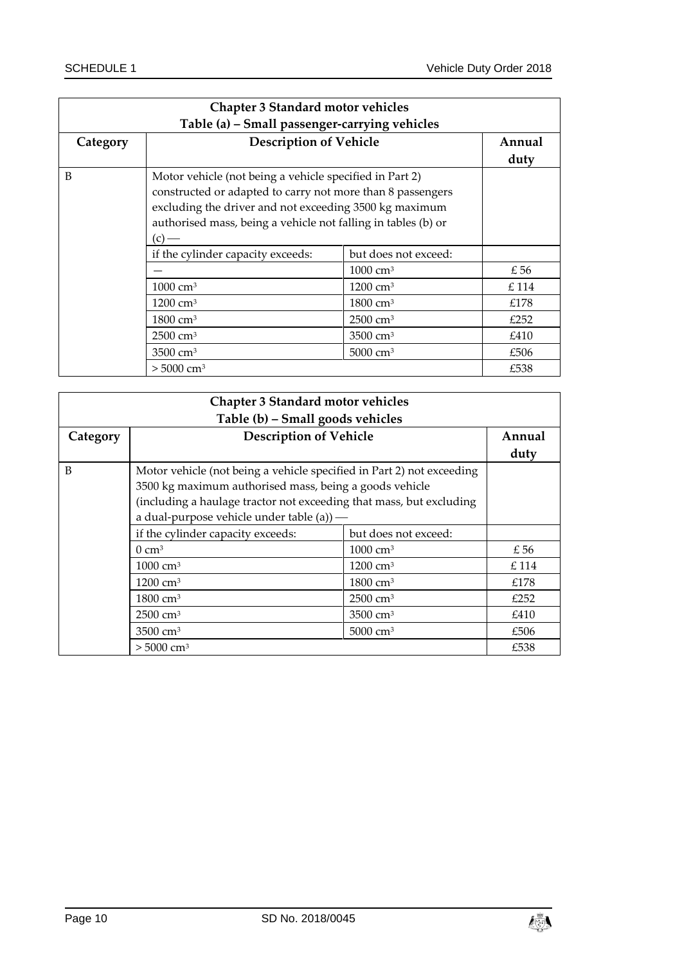| <b>Chapter 3 Standard motor vehicles</b><br>Table (a) - Small passenger-carrying vehicles                                                                                                                                                                    |                                                           |                      |                |
|--------------------------------------------------------------------------------------------------------------------------------------------------------------------------------------------------------------------------------------------------------------|-----------------------------------------------------------|----------------------|----------------|
| Category                                                                                                                                                                                                                                                     | <b>Description of Vehicle</b>                             |                      | Annual<br>duty |
| B<br>Motor vehicle (not being a vehicle specified in Part 2)<br>constructed or adapted to carry not more than 8 passengers<br>excluding the driver and not exceeding 3500 kg maximum<br>authorised mass, being a vehicle not falling in tables (b) or<br>(c) |                                                           |                      |                |
|                                                                                                                                                                                                                                                              | but does not exceed:<br>if the cylinder capacity exceeds: |                      |                |
|                                                                                                                                                                                                                                                              |                                                           | $1000 \text{ cm}^3$  | £ 56           |
|                                                                                                                                                                                                                                                              | $1000 \text{ cm}^3$                                       | $1200 \text{ cm}^3$  | £114           |
|                                                                                                                                                                                                                                                              | $1200 \text{ cm}^3$                                       | $1800 \text{ cm}^3$  | £178           |
|                                                                                                                                                                                                                                                              | $1800 \text{ cm}^3$                                       | $2500 \text{ cm}^3$  | £252           |
|                                                                                                                                                                                                                                                              | $2500 \text{ cm}^3$                                       | 3500 cm <sup>3</sup> | £410           |
|                                                                                                                                                                                                                                                              | $3500 \text{ cm}^3$                                       | 5000 cm <sup>3</sup> | £506           |
|                                                                                                                                                                                                                                                              | $> 5000$ cm <sup>3</sup>                                  |                      | £538           |

| <b>Chapter 3 Standard motor vehicles</b><br>Table (b) - Small goods vehicles |                                                                                                                                                                                                                                                        |                     |                |
|------------------------------------------------------------------------------|--------------------------------------------------------------------------------------------------------------------------------------------------------------------------------------------------------------------------------------------------------|---------------------|----------------|
| Category                                                                     | <b>Description of Vehicle</b>                                                                                                                                                                                                                          |                     | Annual<br>duty |
| B                                                                            | Motor vehicle (not being a vehicle specified in Part 2) not exceeding<br>3500 kg maximum authorised mass, being a goods vehicle<br>(including a haulage tractor not exceeding that mass, but excluding<br>a dual-purpose vehicle under table $(a)$ ) — |                     |                |
|                                                                              | if the cylinder capacity exceeds:<br>but does not exceed:                                                                                                                                                                                              |                     |                |
|                                                                              | $1000 \text{ cm}^3$<br>$0 \text{ cm}^3$<br>$1000 \text{ cm}^3$<br>$1200 \text{ cm}^3$<br>$1200 \text{ cm}^3$<br>$1800 \text{ cm}^3$                                                                                                                    |                     | £56            |
|                                                                              |                                                                                                                                                                                                                                                        |                     | £114           |
|                                                                              |                                                                                                                                                                                                                                                        |                     | £178           |
|                                                                              | $1800 \text{ cm}^3$                                                                                                                                                                                                                                    | $2500 \text{ cm}^3$ | £252           |
|                                                                              | $2500 \text{ cm}^3$                                                                                                                                                                                                                                    | 3500 $cm3$          | £410           |
|                                                                              | 3500 $cm3$<br>5000 cm <sup>3</sup>                                                                                                                                                                                                                     |                     | £506           |
|                                                                              | $> 5000 \text{ cm}^3$                                                                                                                                                                                                                                  |                     | £538           |

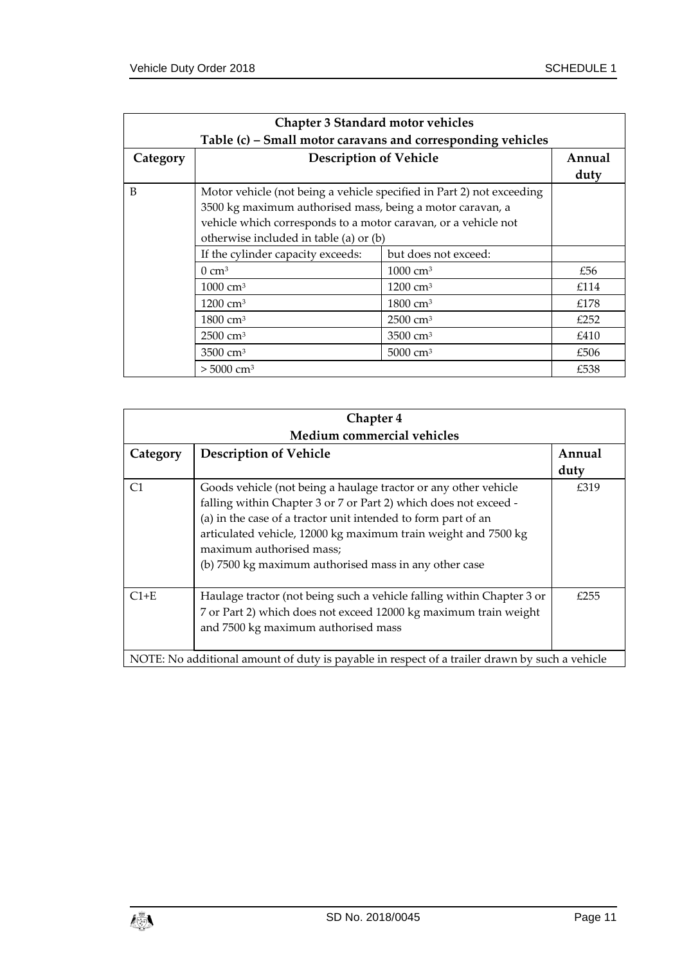|          | <b>Chapter 3 Standard motor vehicles</b>                              |                      |        |  |
|----------|-----------------------------------------------------------------------|----------------------|--------|--|
|          | Table (c) - Small motor caravans and corresponding vehicles           |                      |        |  |
| Category | <b>Description of Vehicle</b>                                         |                      | Annual |  |
|          |                                                                       |                      | duty   |  |
| B        | Motor vehicle (not being a vehicle specified in Part 2) not exceeding |                      |        |  |
|          | 3500 kg maximum authorised mass, being a motor caravan, a             |                      |        |  |
|          | vehicle which corresponds to a motor caravan, or a vehicle not        |                      |        |  |
|          | otherwise included in table (a) or (b)                                |                      |        |  |
|          | If the cylinder capacity exceeds:                                     | but does not exceed: |        |  |
|          | $0 \text{ cm}^3$                                                      | $1000 \text{ cm}^3$  | £56    |  |
|          | $1000 \text{ cm}^3$                                                   | $1200 \text{ cm}^3$  | £114   |  |
|          | $1200 \text{ cm}^3$                                                   | $1800 \text{ cm}^3$  | £178   |  |
|          | $1800 \text{ cm}^3$                                                   | $2500 \text{ cm}^3$  | £252   |  |
|          | $2500 \text{ cm}^3$                                                   | 3500 cm <sup>3</sup> | £410   |  |
|          | $3500 \text{ cm}^3$                                                   | 5000 $cm3$           | £506   |  |
|          | $> 5000 \text{ cm}^3$                                                 |                      | £538   |  |

| Chapter 4                                                                                     |                                                                                                                                                                                                                                                                                                                                                             |      |  |  |
|-----------------------------------------------------------------------------------------------|-------------------------------------------------------------------------------------------------------------------------------------------------------------------------------------------------------------------------------------------------------------------------------------------------------------------------------------------------------------|------|--|--|
|                                                                                               | Medium commercial vehicles                                                                                                                                                                                                                                                                                                                                  |      |  |  |
| Category                                                                                      | <b>Description of Vehicle</b>                                                                                                                                                                                                                                                                                                                               |      |  |  |
|                                                                                               |                                                                                                                                                                                                                                                                                                                                                             | duty |  |  |
| C <sub>1</sub>                                                                                | Goods vehicle (not being a haulage tractor or any other vehicle<br>falling within Chapter 3 or 7 or Part 2) which does not exceed -<br>(a) in the case of a tractor unit intended to form part of an<br>articulated vehicle, 12000 kg maximum train weight and 7500 kg<br>maximum authorised mass;<br>(b) 7500 kg maximum authorised mass in any other case | £319 |  |  |
| $C1+E$                                                                                        | Haulage tractor (not being such a vehicle falling within Chapter 3 or<br>7 or Part 2) which does not exceed 12000 kg maximum train weight<br>and 7500 kg maximum authorised mass                                                                                                                                                                            | £255 |  |  |
| NOTE: No additional amount of duty is payable in respect of a trailer drawn by such a vehicle |                                                                                                                                                                                                                                                                                                                                                             |      |  |  |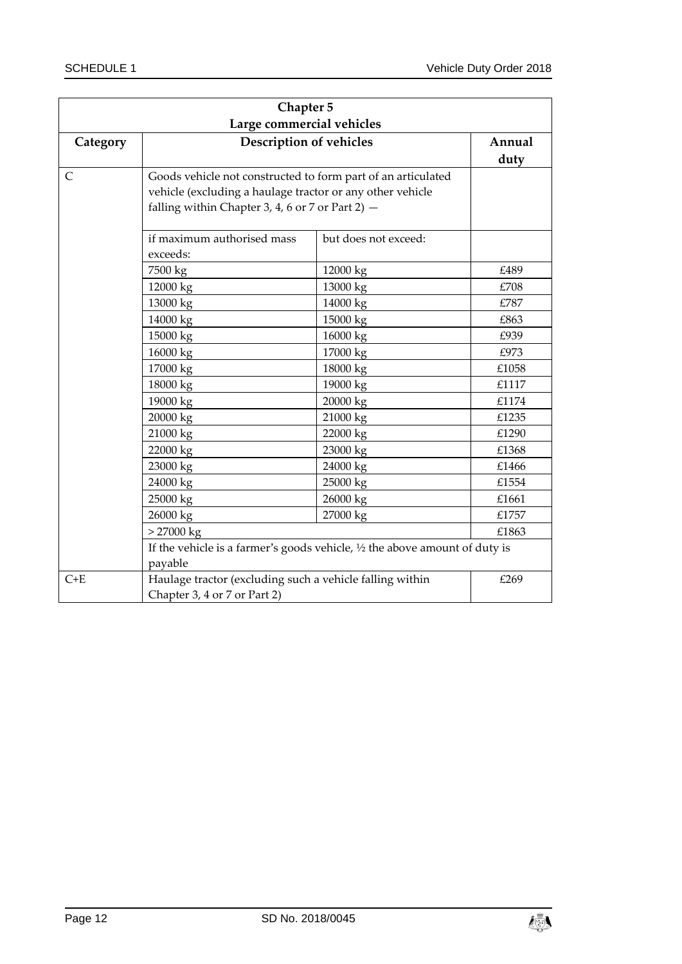| Chapter 5                 |                                                                               |                      |        |
|---------------------------|-------------------------------------------------------------------------------|----------------------|--------|
| Large commercial vehicles |                                                                               |                      |        |
| Category                  | Description of vehicles                                                       |                      | Annual |
|                           |                                                                               |                      | duty   |
| C                         | Goods vehicle not constructed to form part of an articulated                  |                      |        |
|                           | vehicle (excluding a haulage tractor or any other vehicle                     |                      |        |
|                           | falling within Chapter 3, 4, 6 or 7 or Part 2) -                              |                      |        |
|                           |                                                                               |                      |        |
|                           | if maximum authorised mass                                                    | but does not exceed: |        |
|                           | exceeds:                                                                      |                      |        |
|                           | 7500 kg                                                                       | 12000 kg             | £489   |
|                           | 12000 kg                                                                      | 13000 kg             | £708   |
|                           | 13000 kg                                                                      | 14000 kg             | £787   |
|                           | 14000 kg                                                                      | 15000 kg             | £863   |
|                           | 15000 kg                                                                      | 16000 kg             | £939   |
|                           | 16000 kg                                                                      | 17000 kg             | £973   |
|                           | 17000 kg                                                                      | 18000 kg             | £1058  |
|                           | 18000 kg                                                                      | 19000 kg             | £1117  |
|                           | 19000 kg                                                                      | 20000 kg             | £1174  |
|                           | 20000 kg                                                                      | 21000 kg             | £1235  |
|                           | 21000 kg                                                                      | 22000 kg             | £1290  |
|                           | 22000 kg                                                                      | 23000 kg             | £1368  |
|                           | 23000 kg                                                                      | 24000 kg             | £1466  |
|                           | 24000 kg                                                                      | 25000 kg             | £1554  |
|                           | 25000 kg                                                                      | 26000 kg             | £1661  |
|                           | 26000 kg                                                                      | 27000 kg             | £1757  |
|                           | $> 27000$ kg                                                                  |                      | £1863  |
|                           | If the vehicle is a farmer's goods vehicle, $1/2$ the above amount of duty is |                      |        |
|                           | payable                                                                       |                      |        |
| $C+E$                     | Haulage tractor (excluding such a vehicle falling within                      |                      | £269   |
|                           | Chapter 3, 4 or 7 or Part 2)                                                  |                      |        |

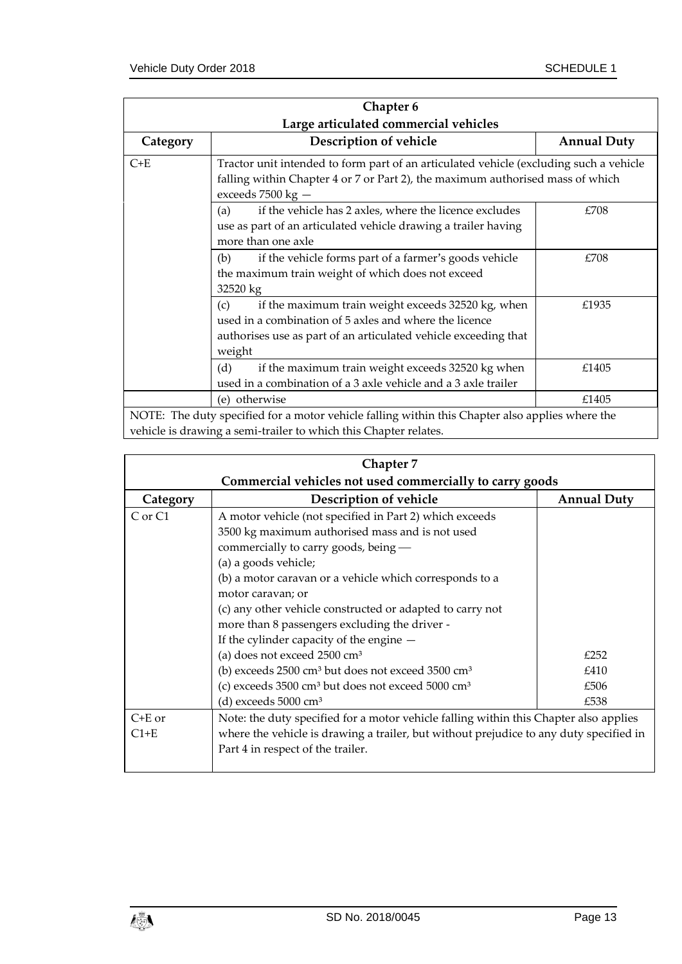| Chapter 6<br>Large articulated commercial vehicles                                                                                                                  |                                                                                                                                                                                                   |       |  |  |
|---------------------------------------------------------------------------------------------------------------------------------------------------------------------|---------------------------------------------------------------------------------------------------------------------------------------------------------------------------------------------------|-------|--|--|
| Category                                                                                                                                                            | Description of vehicle<br><b>Annual Duty</b>                                                                                                                                                      |       |  |  |
| $C+E$                                                                                                                                                               | Tractor unit intended to form part of an articulated vehicle (excluding such a vehicle<br>falling within Chapter 4 or 7 or Part 2), the maximum authorised mass of which<br>exceeds $7500$ kg $-$ |       |  |  |
|                                                                                                                                                                     | if the vehicle has 2 axles, where the licence excludes<br>£708<br>(a)<br>use as part of an articulated vehicle drawing a trailer having<br>more than one axle                                     |       |  |  |
|                                                                                                                                                                     | if the vehicle forms part of a farmer's goods vehicle<br>(b)<br>the maximum train weight of which does not exceed<br>32520 kg                                                                     |       |  |  |
|                                                                                                                                                                     | if the maximum train weight exceeds 32520 kg, when<br>(c)<br>used in a combination of 5 axles and where the licence<br>authorises use as part of an articulated vehicle exceeding that<br>weight  | £1935 |  |  |
|                                                                                                                                                                     | if the maximum train weight exceeds 32520 kg when<br>(d)<br>used in a combination of a 3 axle vehicle and a 3 axle trailer                                                                        | £1405 |  |  |
|                                                                                                                                                                     | (e) otherwise                                                                                                                                                                                     | £1405 |  |  |
| NOTE: The duty specified for a motor vehicle falling within this Chapter also applies where the<br>vehicle is drawing a semi-trailer to which this Chapter relates. |                                                                                                                                                                                                   |       |  |  |

| Chapter 7                                                |                                                                                        |                    |  |
|----------------------------------------------------------|----------------------------------------------------------------------------------------|--------------------|--|
| Commercial vehicles not used commercially to carry goods |                                                                                        |                    |  |
| Category                                                 | Description of vehicle                                                                 | <b>Annual Duty</b> |  |
| C or C1                                                  | A motor vehicle (not specified in Part 2) which exceeds                                |                    |  |
|                                                          | 3500 kg maximum authorised mass and is not used                                        |                    |  |
|                                                          | commercially to carry goods, being -                                                   |                    |  |
|                                                          | (a) a goods vehicle;                                                                   |                    |  |
|                                                          | (b) a motor caravan or a vehicle which corresponds to a                                |                    |  |
|                                                          | motor caravan; or                                                                      |                    |  |
|                                                          | (c) any other vehicle constructed or adapted to carry not                              |                    |  |
|                                                          | more than 8 passengers excluding the driver -                                          |                    |  |
|                                                          | If the cylinder capacity of the engine -                                               |                    |  |
|                                                          | (a) does not exceed $2500 \text{ cm}^3$                                                | £252               |  |
|                                                          | (b) exceeds 2500 cm <sup>3</sup> but does not exceed 3500 cm <sup>3</sup>              | £410               |  |
|                                                          | (c) exceeds $3500 \text{ cm}^3$ but does not exceed $5000 \text{ cm}^3$                | £506               |  |
|                                                          | (d) exceeds $5000 \text{ cm}^3$                                                        | £538               |  |
| $C+E$ or                                                 | Note: the duty specified for a motor vehicle falling within this Chapter also applies  |                    |  |
| $C1+E$                                                   | where the vehicle is drawing a trailer, but without prejudice to any duty specified in |                    |  |
|                                                          | Part 4 in respect of the trailer.                                                      |                    |  |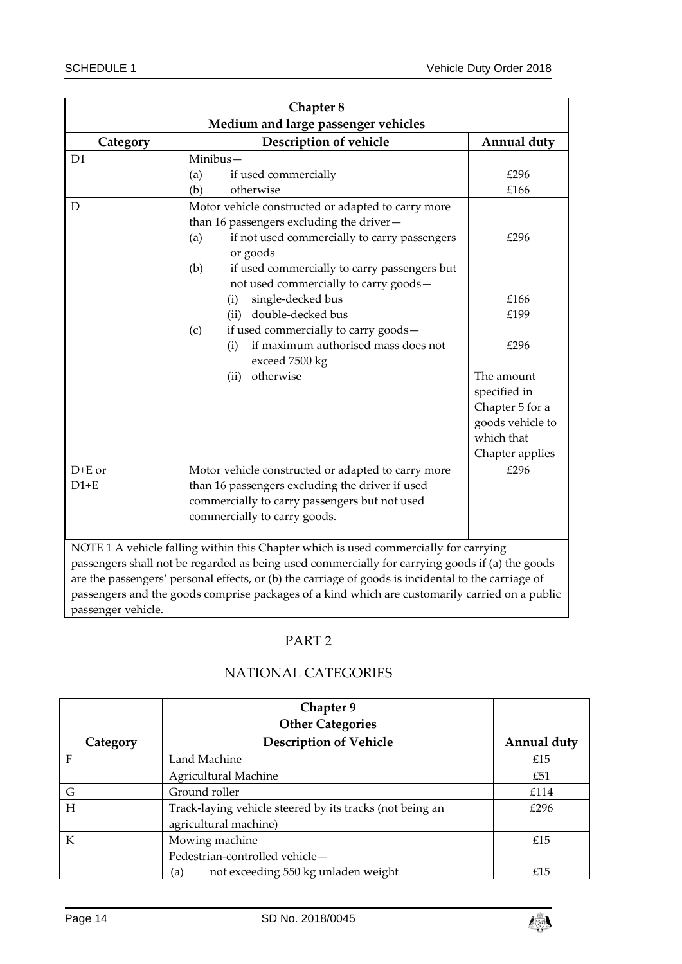| Chapter 8                           |                                                                                                                                                                                                                                                                                                                                                                                                                                                             |                                                                                                                 |  |  |  |
|-------------------------------------|-------------------------------------------------------------------------------------------------------------------------------------------------------------------------------------------------------------------------------------------------------------------------------------------------------------------------------------------------------------------------------------------------------------------------------------------------------------|-----------------------------------------------------------------------------------------------------------------|--|--|--|
| Medium and large passenger vehicles |                                                                                                                                                                                                                                                                                                                                                                                                                                                             |                                                                                                                 |  |  |  |
| Category                            | Description of vehicle                                                                                                                                                                                                                                                                                                                                                                                                                                      | Annual duty                                                                                                     |  |  |  |
| D <sub>1</sub>                      | Minibus-<br>(a)<br>if used commercially<br>otherwise<br>(b)                                                                                                                                                                                                                                                                                                                                                                                                 | £296<br>£166                                                                                                    |  |  |  |
| D                                   | Motor vehicle constructed or adapted to carry more<br>than 16 passengers excluding the driver-<br>if not used commercially to carry passengers<br>(a)<br>or goods<br>(b)<br>if used commercially to carry passengers but<br>not used commercially to carry goods-<br>single-decked bus<br>(i)<br>(ii) double-decked bus<br>if used commercially to carry goods-<br>(c)<br>if maximum authorised mass does not<br>(i)<br>exceed 7500 kg<br>otherwise<br>(ii) | £296<br>£166<br>£199<br>£296<br>The amount<br>specified in<br>Chapter 5 for a<br>goods vehicle to<br>which that |  |  |  |
| $D+E$ or<br>$D1+E$                  | Motor vehicle constructed or adapted to carry more<br>than 16 passengers excluding the driver if used<br>commercially to carry passengers but not used<br>commercially to carry goods.                                                                                                                                                                                                                                                                      | Chapter applies<br>£296                                                                                         |  |  |  |
| passenger vehicle.                  | NOTE 1 A vehicle falling within this Chapter which is used commercially for carrying<br>passengers shall not be regarded as being used commercially for carrying goods if (a) the goods<br>are the passengers' personal effects, or (b) the carriage of goods is incidental to the carriage of<br>passengers and the goods comprise packages of a kind which are customarily carried on a public                                                            |                                                                                                                 |  |  |  |

## PART 2

<span id="page-13-1"></span><span id="page-13-0"></span>

|          | Chapter 9                                                                         |             |
|----------|-----------------------------------------------------------------------------------|-------------|
|          | <b>Other Categories</b>                                                           |             |
| Category | <b>Description of Vehicle</b>                                                     | Annual duty |
| F        | Land Machine                                                                      | £15         |
|          | Agricultural Machine                                                              | £51         |
| G        | Ground roller                                                                     | £114        |
| H        | Track-laying vehicle steered by its tracks (not being an<br>agricultural machine) | £296        |
| K        | Mowing machine                                                                    | £15         |
|          | Pedestrian-controlled vehicle-                                                    |             |
|          | not exceeding 550 kg unladen weight<br>(a)                                        | £15         |

## NATIONAL CATEGORIES

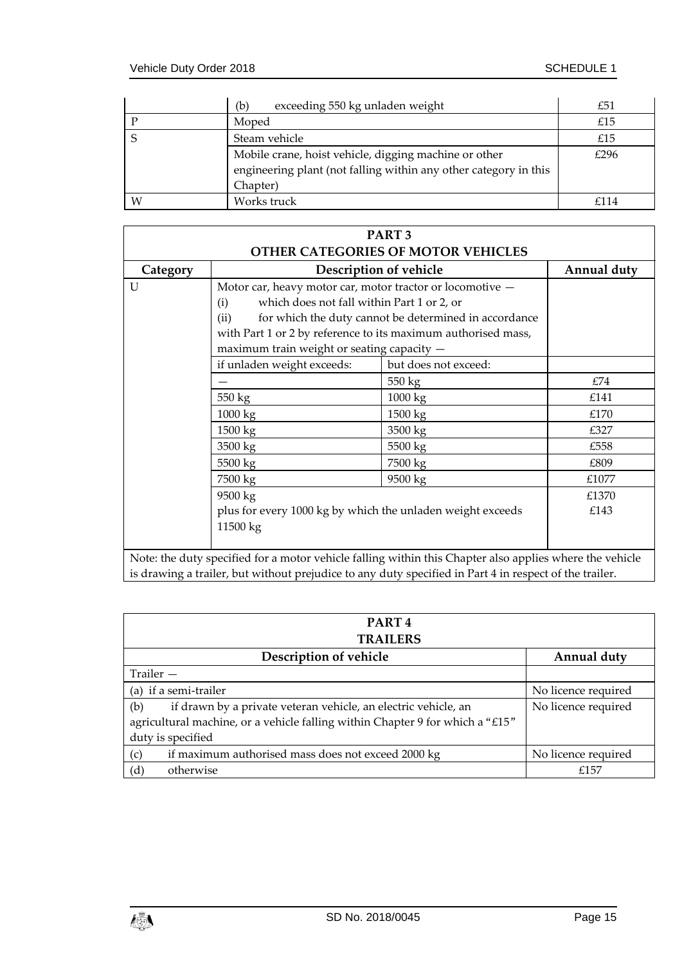|   | exceeding 550 kg unladen weight<br>(b)                                                                                                | £51  |
|---|---------------------------------------------------------------------------------------------------------------------------------------|------|
|   | Moped                                                                                                                                 | £15  |
|   | Steam vehicle                                                                                                                         | £15  |
|   | Mobile crane, hoist vehicle, digging machine or other<br>engineering plant (not falling within any other category in this<br>Chapter) | £296 |
| W | Works truck                                                                                                                           | f114 |

| PART <sub>3</sub>                  |                                                                                                         |                      |             |  |  |  |
|------------------------------------|---------------------------------------------------------------------------------------------------------|----------------------|-------------|--|--|--|
| OTHER CATEGORIES OF MOTOR VEHICLES |                                                                                                         |                      |             |  |  |  |
| Category                           | Description of vehicle                                                                                  |                      | Annual duty |  |  |  |
| U                                  | Motor car, heavy motor car, motor tractor or locomotive -                                               |                      |             |  |  |  |
|                                    | which does not fall within Part 1 or 2, or<br>(i)                                                       |                      |             |  |  |  |
|                                    | for which the duty cannot be determined in accordance<br>(ii)                                           |                      |             |  |  |  |
|                                    | with Part 1 or 2 by reference to its maximum authorised mass,                                           |                      |             |  |  |  |
|                                    | maximum train weight or seating capacity -                                                              |                      |             |  |  |  |
|                                    | if unladen weight exceeds:                                                                              | but does not exceed: |             |  |  |  |
|                                    |                                                                                                         | 550 kg               | £74         |  |  |  |
|                                    | 550 kg                                                                                                  | 1000 kg              | £141        |  |  |  |
|                                    | 1000 kg                                                                                                 | 1500 kg              | £170        |  |  |  |
|                                    | 1500 kg                                                                                                 | 3500 kg              | £327        |  |  |  |
|                                    | 3500 kg                                                                                                 | 5500 kg              | £558        |  |  |  |
|                                    | 5500 kg                                                                                                 | 7500 kg              | £809        |  |  |  |
|                                    | 7500 kg                                                                                                 | 9500 kg              | £1077       |  |  |  |
|                                    | 9500 kg<br>plus for every 1000 kg by which the unladen weight exceeds                                   |                      | £1370       |  |  |  |
|                                    |                                                                                                         |                      | £143        |  |  |  |
|                                    | 11500 kg                                                                                                |                      |             |  |  |  |
|                                    |                                                                                                         |                      |             |  |  |  |
|                                    | Note: the duty specified for a motor vehicle falling within this Chapter also applies where the vehicle |                      |             |  |  |  |

is drawing a trailer, but without prejudice to any duty specified in Part 4 in respect of the trailer.

| PART <sub>4</sub><br><b>TRAILERS</b>                                                                                                                                        |                     |  |  |  |
|-----------------------------------------------------------------------------------------------------------------------------------------------------------------------------|---------------------|--|--|--|
| Description of vehicle                                                                                                                                                      | Annual duty         |  |  |  |
| Trailer $-$                                                                                                                                                                 |                     |  |  |  |
| (a) if a semi-trailer                                                                                                                                                       | No licence required |  |  |  |
| if drawn by a private veteran vehicle, an electric vehicle, an<br>(b)<br>agricultural machine, or a vehicle falling within Chapter 9 for which a "£15"<br>duty is specified | No licence required |  |  |  |
| (c)<br>if maximum authorised mass does not exceed 2000 kg                                                                                                                   | No licence required |  |  |  |
| (d)<br>otherwise                                                                                                                                                            | £157                |  |  |  |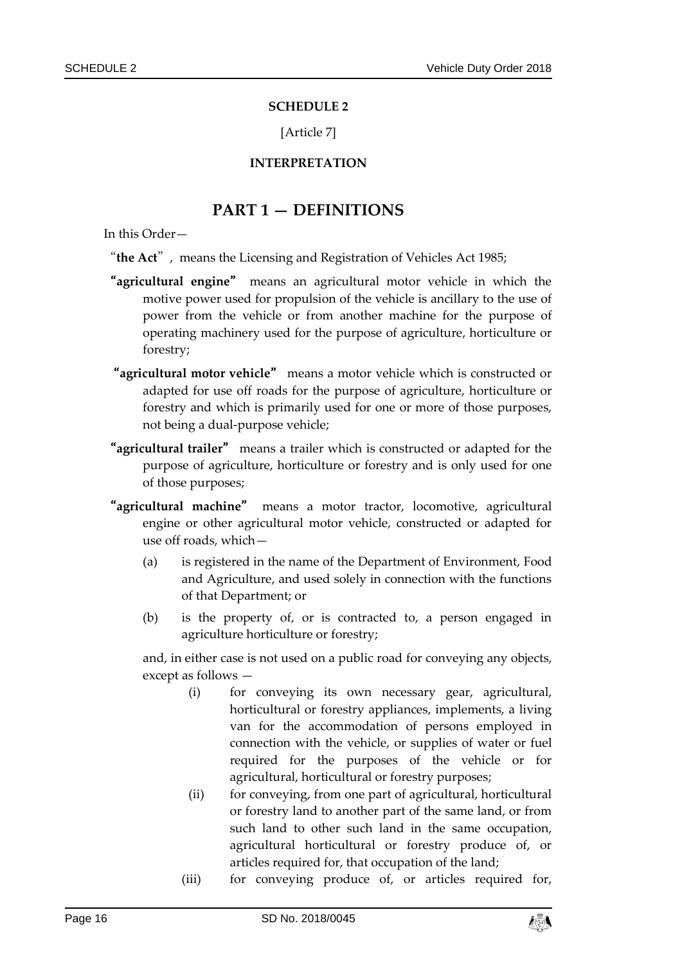#### **SCHEDULE 2**

[Article 7]

## **INTERPRETATION**

## **PART 1 — DEFINITIONS**

<span id="page-15-2"></span><span id="page-15-1"></span><span id="page-15-0"></span>In this Order—

"**the Act**", means the Licensing and Registration of Vehicles Act 1985;

- "**agricultural engine**" means an agricultural motor vehicle in which the motive power used for propulsion of the vehicle is ancillary to the use of power from the vehicle or from another machine for the purpose of operating machinery used for the purpose of agriculture, horticulture or forestry;
- "**agricultural motor vehicle**" means a motor vehicle which is constructed or adapted for use off roads for the purpose of agriculture, horticulture or forestry and which is primarily used for one or more of those purposes, not being a dual-purpose vehicle;
- "**agricultural trailer**" means a trailer which is constructed or adapted for the purpose of agriculture, horticulture or forestry and is only used for one of those purposes;
- "**agricultural machine**" means a motor tractor, locomotive, agricultural engine or other agricultural motor vehicle, constructed or adapted for use off roads, which—
	- (a) is registered in the name of the Department of Environment, Food and Agriculture, and used solely in connection with the functions of that Department; or
	- (b) is the property of, or is contracted to, a person engaged in agriculture horticulture or forestry;

and, in either case is not used on a public road for conveying any objects, except as follows —

- (i) for conveying its own necessary gear, agricultural, horticultural or forestry appliances, implements, a living van for the accommodation of persons employed in connection with the vehicle, or supplies of water or fuel required for the purposes of the vehicle or for agricultural, horticultural or forestry purposes;
- (ii) for conveying, from one part of agricultural, horticultural or forestry land to another part of the same land, or from such land to other such land in the same occupation, agricultural horticultural or forestry produce of, or articles required for, that occupation of the land;
- (iii) for conveying produce of, or articles required for,

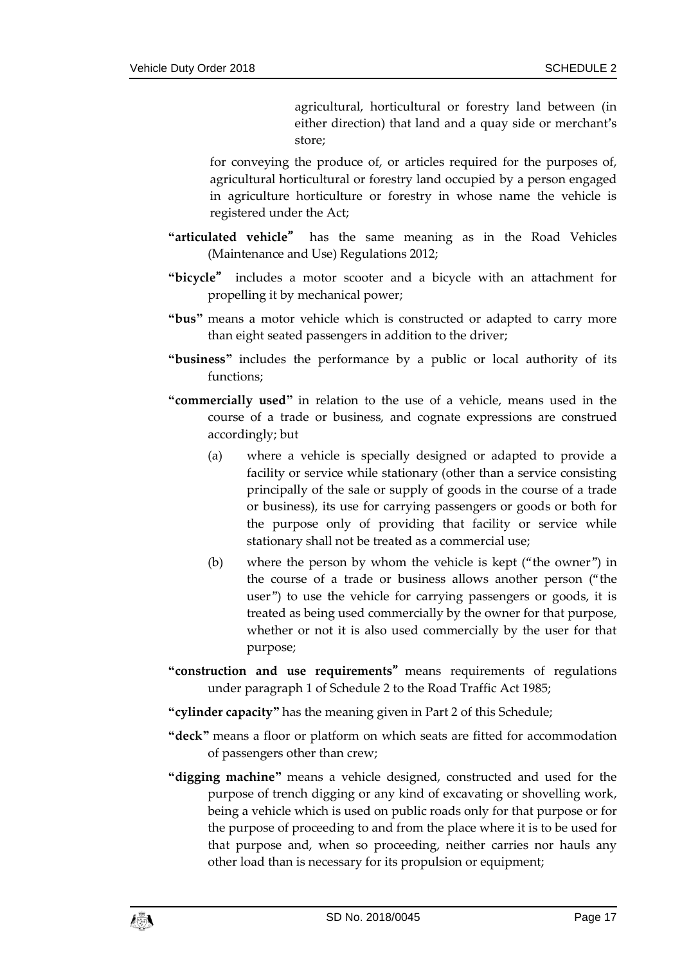agricultural, horticultural or forestry land between (in either direction) that land and a quay side or merchant's store;

for conveying the produce of, or articles required for the purposes of, agricultural horticultural or forestry land occupied by a person engaged in agriculture horticulture or forestry in whose name the vehicle is registered under the Act;

- **"articulated vehicle**" has the same meaning as in the Road Vehicles (Maintenance and Use) Regulations 2012;
- **"bicycle**" includes a motor scooter and a bicycle with an attachment for propelling it by mechanical power;
- **"bus"** means a motor vehicle which is constructed or adapted to carry more than eight seated passengers in addition to the driver;
- **"business"** includes the performance by a public or local authority of its functions;
- **"commercially used"** in relation to the use of a vehicle, means used in the course of a trade or business, and cognate expressions are construed accordingly; but
	- (a) where a vehicle is specially designed or adapted to provide a facility or service while stationary (other than a service consisting principally of the sale or supply of goods in the course of a trade or business), its use for carrying passengers or goods or both for the purpose only of providing that facility or service while stationary shall not be treated as a commercial use;
	- (b) where the person by whom the vehicle is kept ("the owner") in the course of a trade or business allows another person ("the user") to use the vehicle for carrying passengers or goods, it is treated as being used commercially by the owner for that purpose, whether or not it is also used commercially by the user for that purpose;
- **"construction and use requirements**"means requirements of regulations under paragraph 1 of Schedule 2 to the Road Traffic Act 1985;
- **"cylinder capacity"** has the meaning given in Part 2 of this Schedule;
- **"deck"** means a floor or platform on which seats are fitted for accommodation of passengers other than crew;
- **"digging machine"** means a vehicle designed, constructed and used for the purpose of trench digging or any kind of excavating or shovelling work, being a vehicle which is used on public roads only for that purpose or for the purpose of proceeding to and from the place where it is to be used for that purpose and, when so proceeding, neither carries nor hauls any other load than is necessary for its propulsion or equipment;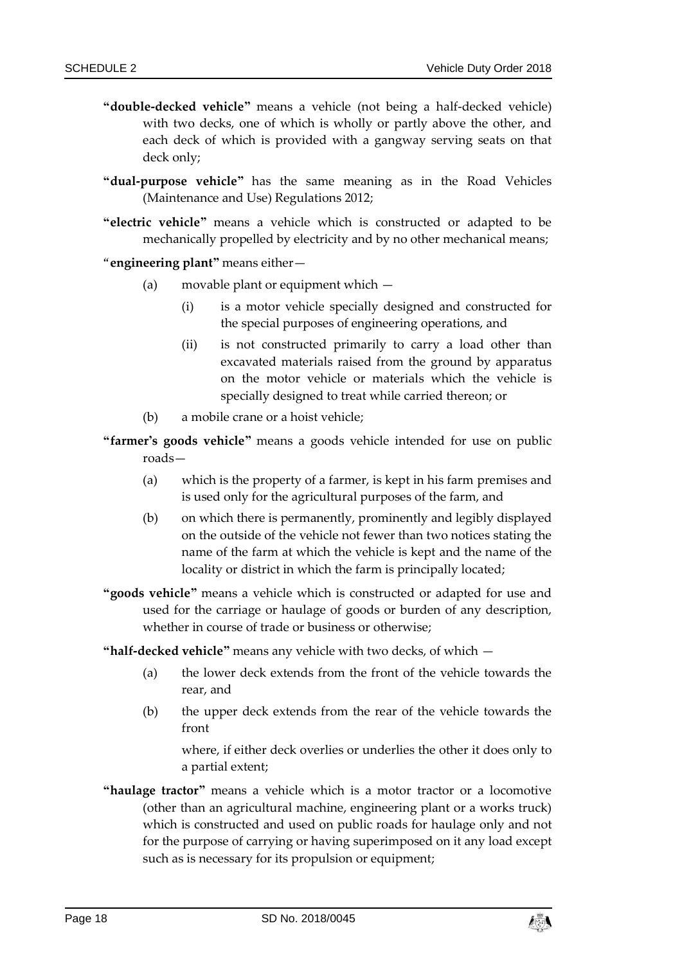- **"double-decked vehicle"** means a vehicle (not being a half-decked vehicle) with two decks, one of which is wholly or partly above the other, and each deck of which is provided with a gangway serving seats on that deck only;
- **"dual-purpose vehicle"** has the same meaning as in the Road Vehicles (Maintenance and Use) Regulations 2012;
- **"electric vehicle"** means a vehicle which is constructed or adapted to be mechanically propelled by electricity and by no other mechanical means;
- "**engineering plant"** means either—
	- (a) movable plant or equipment which
		- (i) is a motor vehicle specially designed and constructed for the special purposes of engineering operations, and
		- (ii) is not constructed primarily to carry a load other than excavated materials raised from the ground by apparatus on the motor vehicle or materials which the vehicle is specially designed to treat while carried thereon; or
	- (b) a mobile crane or a hoist vehicle;
- **"farmer's goods vehicle"** means a goods vehicle intended for use on public roads—
	- (a) which is the property of a farmer, is kept in his farm premises and is used only for the agricultural purposes of the farm, and
	- (b) on which there is permanently, prominently and legibly displayed on the outside of the vehicle not fewer than two notices stating the name of the farm at which the vehicle is kept and the name of the locality or district in which the farm is principally located;
- **"goods vehicle"** means a vehicle which is constructed or adapted for use and used for the carriage or haulage of goods or burden of any description, whether in course of trade or business or otherwise;

**"half-decked vehicle"** means any vehicle with two decks, of which —

- (a) the lower deck extends from the front of the vehicle towards the rear, and
- (b) the upper deck extends from the rear of the vehicle towards the front

where, if either deck overlies or underlies the other it does only to a partial extent;

**"haulage tractor"** means a vehicle which is a motor tractor or a locomotive (other than an agricultural machine, engineering plant or a works truck) which is constructed and used on public roads for haulage only and not for the purpose of carrying or having superimposed on it any load except such as is necessary for its propulsion or equipment;

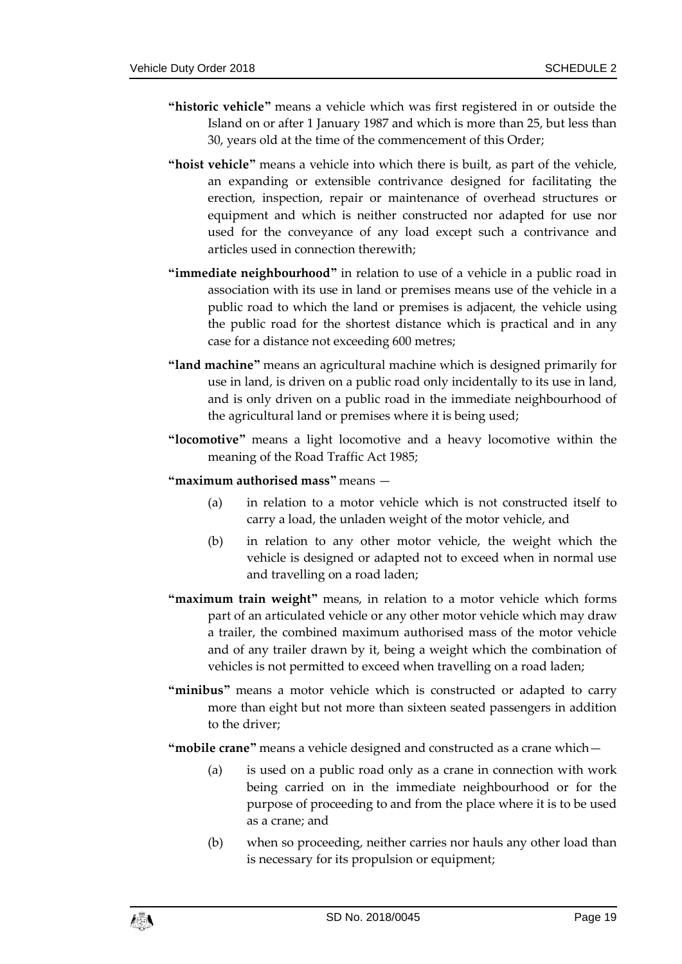- **"historic vehicle"** means a vehicle which was first registered in or outside the Island on or after 1 January 1987 and which is more than 25, but less than 30, years old at the time of the commencement of this Order;
- **"hoist vehicle"** means a vehicle into which there is built, as part of the vehicle, an expanding or extensible contrivance designed for facilitating the erection, inspection, repair or maintenance of overhead structures or equipment and which is neither constructed nor adapted for use nor used for the conveyance of any load except such a contrivance and articles used in connection therewith;
- **"immediate neighbourhood"** in relation to use of a vehicle in a public road in association with its use in land or premises means use of the vehicle in a public road to which the land or premises is adjacent, the vehicle using the public road for the shortest distance which is practical and in any case for a distance not exceeding 600 metres;
- **"land machine"** means an agricultural machine which is designed primarily for use in land, is driven on a public road only incidentally to its use in land, and is only driven on a public road in the immediate neighbourhood of the agricultural land or premises where it is being used;
- **"locomotive"** means a light locomotive and a heavy locomotive within the meaning of the Road Traffic Act 1985;
- **"maximum authorised mass"** means
	- (a) in relation to a motor vehicle which is not constructed itself to carry a load, the unladen weight of the motor vehicle, and
	- (b) in relation to any other motor vehicle, the weight which the vehicle is designed or adapted not to exceed when in normal use and travelling on a road laden;
- **"maximum train weight"** means, in relation to a motor vehicle which forms part of an articulated vehicle or any other motor vehicle which may draw a trailer, the combined maximum authorised mass of the motor vehicle and of any trailer drawn by it, being a weight which the combination of vehicles is not permitted to exceed when travelling on a road laden;
- **"minibus"** means a motor vehicle which is constructed or adapted to carry more than eight but not more than sixteen seated passengers in addition to the driver;
- **"mobile crane"** means a vehicle designed and constructed as a crane which—
	- (a) is used on a public road only as a crane in connection with work being carried on in the immediate neighbourhood or for the purpose of proceeding to and from the place where it is to be used as a crane; and
	- (b) when so proceeding, neither carries nor hauls any other load than is necessary for its propulsion or equipment;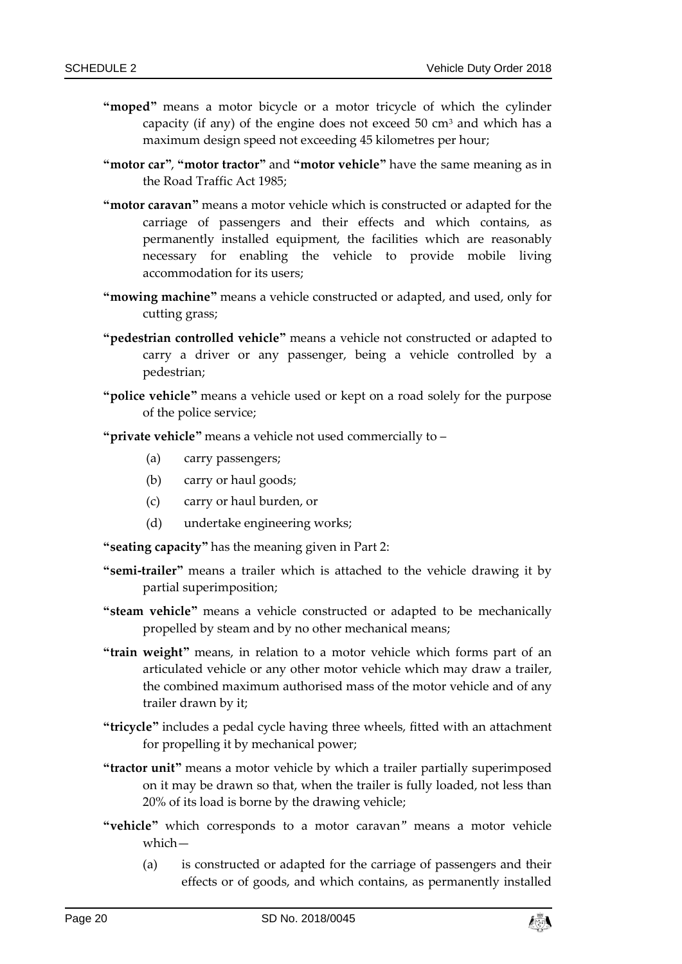- **"moped"** means a motor bicycle or a motor tricycle of which the cylinder capacity (if any) of the engine does not exceed  $50 \text{ cm}^3$  and which has a maximum design speed not exceeding 45 kilometres per hour;
- **"motor car"**, **"motor tractor"** and **"motor vehicle"** have the same meaning as in the Road Traffic Act 1985;
- **"motor caravan"** means a motor vehicle which is constructed or adapted for the carriage of passengers and their effects and which contains, as permanently installed equipment, the facilities which are reasonably necessary for enabling the vehicle to provide mobile living accommodation for its users;
- **"mowing machine"** means a vehicle constructed or adapted, and used, only for cutting grass;
- **"pedestrian controlled vehicle"** means a vehicle not constructed or adapted to carry a driver or any passenger, being a vehicle controlled by a pedestrian;
- **"police vehicle"** means a vehicle used or kept on a road solely for the purpose of the police service;
- **"private vehicle"** means a vehicle not used commercially to
	- (a) carry passengers;
	- (b) carry or haul goods;
	- (c) carry or haul burden, or
	- (d) undertake engineering works;
- **"seating capacity"** has the meaning given in Part 2:
- **"semi-trailer"** means a trailer which is attached to the vehicle drawing it by partial superimposition;
- **"steam vehicle"** means a vehicle constructed or adapted to be mechanically propelled by steam and by no other mechanical means;
- **"train weight"** means, in relation to a motor vehicle which forms part of an articulated vehicle or any other motor vehicle which may draw a trailer, the combined maximum authorised mass of the motor vehicle and of any trailer drawn by it;
- **"tricycle"** includes a pedal cycle having three wheels, fitted with an attachment for propelling it by mechanical power;
- **"tractor unit"** means a motor vehicle by which a trailer partially superimposed on it may be drawn so that, when the trailer is fully loaded, not less than 20% of its load is borne by the drawing vehicle;
- **"vehicle"** which corresponds to a motor caravan" means a motor vehicle which—
	- (a) is constructed or adapted for the carriage of passengers and their effects or of goods, and which contains, as permanently installed

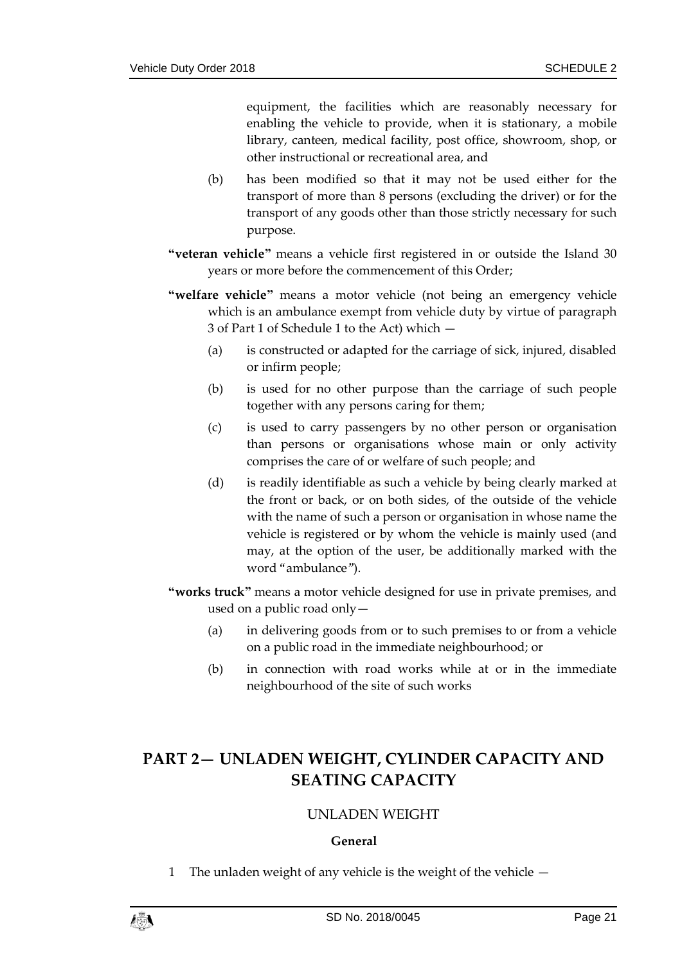equipment, the facilities which are reasonably necessary for enabling the vehicle to provide, when it is stationary, a mobile library, canteen, medical facility, post office, showroom, shop, or other instructional or recreational area, and

- (b) has been modified so that it may not be used either for the transport of more than 8 persons (excluding the driver) or for the transport of any goods other than those strictly necessary for such purpose.
- **"veteran vehicle"** means a vehicle first registered in or outside the Island 30 years or more before the commencement of this Order;
- **"welfare vehicle"** means a motor vehicle (not being an emergency vehicle which is an ambulance exempt from vehicle duty by virtue of paragraph 3 of Part 1 of Schedule 1 to the Act) which —
	- (a) is constructed or adapted for the carriage of sick, injured, disabled or infirm people;
	- (b) is used for no other purpose than the carriage of such people together with any persons caring for them;
	- (c) is used to carry passengers by no other person or organisation than persons or organisations whose main or only activity comprises the care of or welfare of such people; and
	- (d) is readily identifiable as such a vehicle by being clearly marked at the front or back, or on both sides, of the outside of the vehicle with the name of such a person or organisation in whose name the vehicle is registered or by whom the vehicle is mainly used (and may, at the option of the user, be additionally marked with the word "ambulance").
- **"works truck"** means a motor vehicle designed for use in private premises, and used on a public road only—
	- (a) in delivering goods from or to such premises to or from a vehicle on a public road in the immediate neighbourhood; or
	- (b) in connection with road works while at or in the immediate neighbourhood of the site of such works

## <span id="page-20-1"></span><span id="page-20-0"></span>**PART 2— UNLADEN WEIGHT, CYLINDER CAPACITY AND SEATING CAPACITY**

## UNLADEN WEIGHT

## **General**

1 The unladen weight of any vehicle is the weight of the vehicle —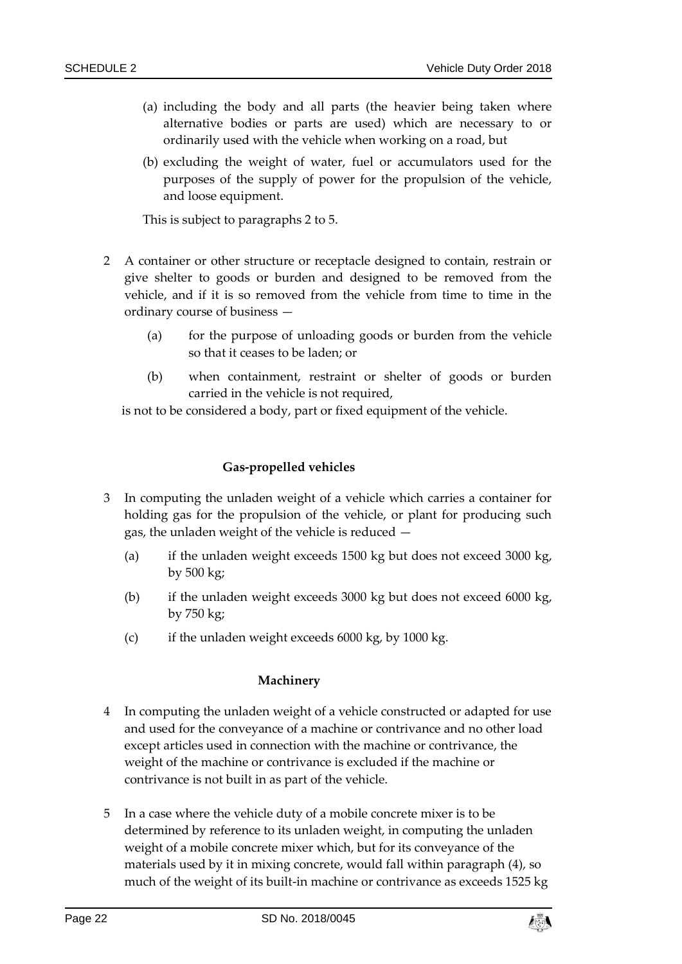- (a) including the body and all parts (the heavier being taken where alternative bodies or parts are used) which are necessary to or ordinarily used with the vehicle when working on a road, but
- (b) excluding the weight of water, fuel or accumulators used for the purposes of the supply of power for the propulsion of the vehicle, and loose equipment.

This is subject to paragraphs 2 to 5.

- 2 A container or other structure or receptacle designed to contain, restrain or give shelter to goods or burden and designed to be removed from the vehicle, and if it is so removed from the vehicle from time to time in the ordinary course of business —
	- (a) for the purpose of unloading goods or burden from the vehicle so that it ceases to be laden; or
	- (b) when containment, restraint or shelter of goods or burden carried in the vehicle is not required,

is not to be considered a body, part or fixed equipment of the vehicle.

#### **Gas-propelled vehicles**

- 3 In computing the unladen weight of a vehicle which carries a container for holding gas for the propulsion of the vehicle, or plant for producing such gas, the unladen weight of the vehicle is reduced —
	- (a) if the unladen weight exceeds 1500 kg but does not exceed 3000 kg, by 500 kg;
	- (b) if the unladen weight exceeds 3000 kg but does not exceed 6000 kg, by 750 kg;
	- (c) if the unladen weight exceeds 6000 kg, by 1000 kg.

## **Machinery**

- 4 In computing the unladen weight of a vehicle constructed or adapted for use and used for the conveyance of a machine or contrivance and no other load except articles used in connection with the machine or contrivance, the weight of the machine or contrivance is excluded if the machine or contrivance is not built in as part of the vehicle.
- 5 In a case where the vehicle duty of a mobile concrete mixer is to be determined by reference to its unladen weight, in computing the unladen weight of a mobile concrete mixer which, but for its conveyance of the materials used by it in mixing concrete, would fall within paragraph (4), so much of the weight of its built-in machine or contrivance as exceeds 1525 kg

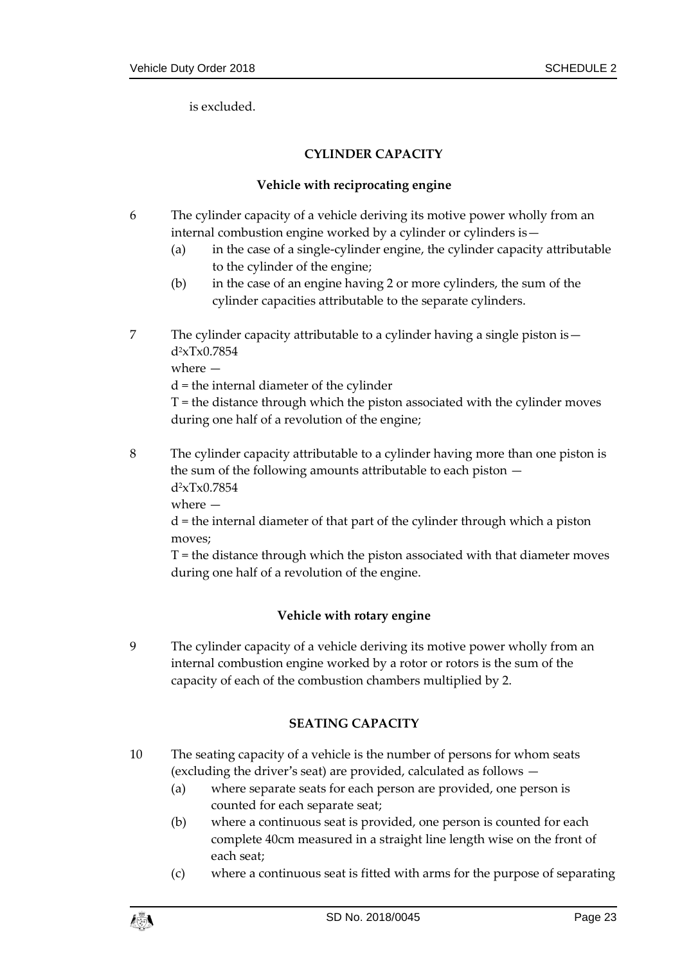<span id="page-22-0"></span>is excluded.

## **CYLINDER CAPACITY**

#### **Vehicle with reciprocating engine**

- 6 The cylinder capacity of a vehicle deriving its motive power wholly from an internal combustion engine worked by a cylinder or cylinders is—
	- (a) in the case of a single-cylinder engine, the cylinder capacity attributable to the cylinder of the engine;
	- (b) in the case of an engine having 2 or more cylinders, the sum of the cylinder capacities attributable to the separate cylinders.
- 7 The cylinder capacity attributable to a cylinder having a single piston is d2xTx0.7854

where —

d = the internal diameter of the cylinder

T = the distance through which the piston associated with the cylinder moves during one half of a revolution of the engine;

8 The cylinder capacity attributable to a cylinder having more than one piston is the sum of the following amounts attributable to each piston d2xTx0.7854

where —

d = the internal diameter of that part of the cylinder through which a piston moves;

T = the distance through which the piston associated with that diameter moves during one half of a revolution of the engine.

## **Vehicle with rotary engine**

9 The cylinder capacity of a vehicle deriving its motive power wholly from an internal combustion engine worked by a rotor or rotors is the sum of the capacity of each of the combustion chambers multiplied by 2.

## **SEATING CAPACITY**

- 10 The seating capacity of a vehicle is the number of persons for whom seats (excluding the driver's seat) are provided, calculated as follows —
	- (a) where separate seats for each person are provided, one person is counted for each separate seat;
	- (b) where a continuous seat is provided, one person is counted for each complete 40cm measured in a straight line length wise on the front of each seat;
	- (c) where a continuous seat is fitted with arms for the purpose of separating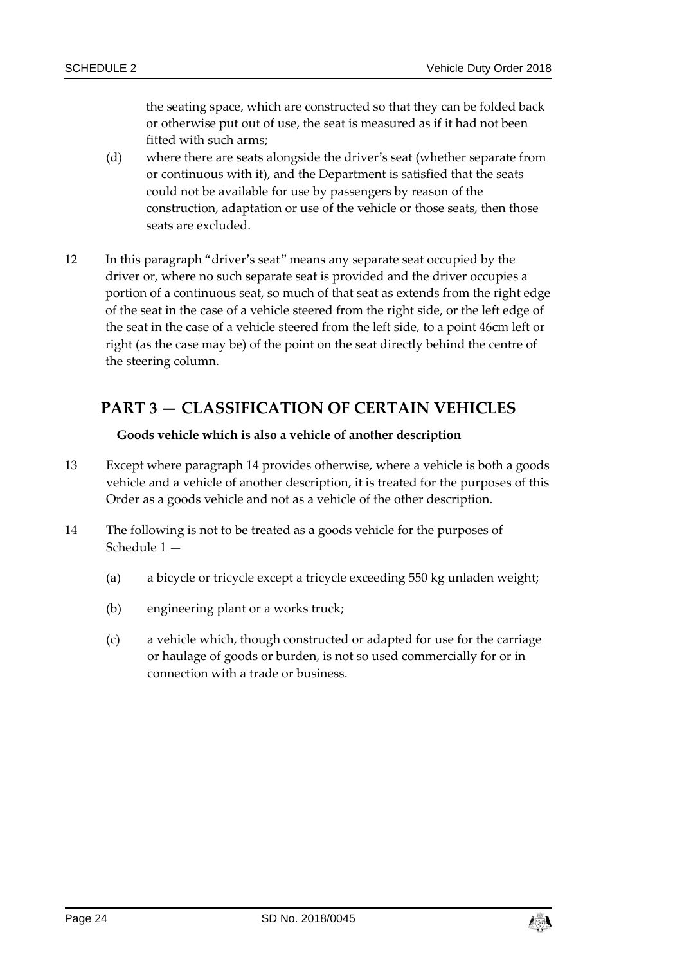the seating space, which are constructed so that they can be folded back or otherwise put out of use, the seat is measured as if it had not been fitted with such arms;

- (d) where there are seats alongside the driver's seat (whether separate from or continuous with it), and the Department is satisfied that the seats could not be available for use by passengers by reason of the construction, adaptation or use of the vehicle or those seats, then those seats are excluded.
- 12 In this paragraph "driver's seat" means any separate seat occupied by the driver or, where no such separate seat is provided and the driver occupies a portion of a continuous seat, so much of that seat as extends from the right edge of the seat in the case of a vehicle steered from the right side, or the left edge of the seat in the case of a vehicle steered from the left side, to a point 46cm left or right (as the case may be) of the point on the seat directly behind the centre of the steering column.

## <span id="page-23-0"></span>**PART 3 — CLASSIFICATION OF CERTAIN VEHICLES**

## **Goods vehicle which is also a vehicle of another description**

- 13 Except where paragraph 14 provides otherwise, where a vehicle is both a goods vehicle and a vehicle of another description, it is treated for the purposes of this Order as a goods vehicle and not as a vehicle of the other description.
- 14 The following is not to be treated as a goods vehicle for the purposes of Schedule 1 —
	- (a) a bicycle or tricycle except a tricycle exceeding 550 kg unladen weight;
	- (b) engineering plant or a works truck;
	- (c) a vehicle which, though constructed or adapted for use for the carriage or haulage of goods or burden, is not so used commercially for or in connection with a trade or business.